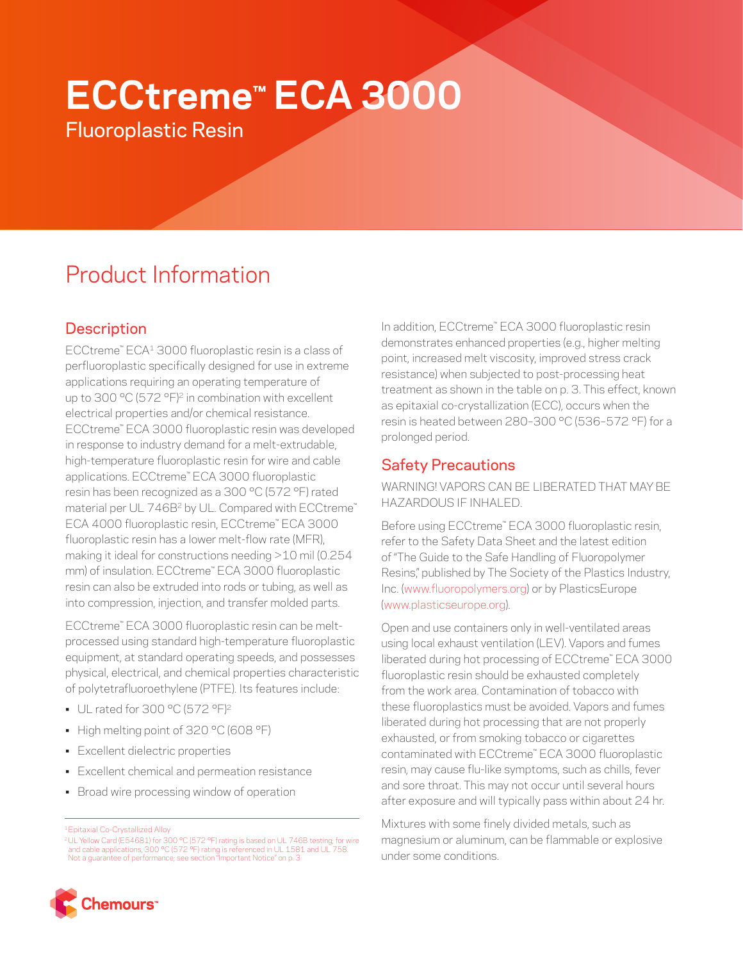# **ECCtreme™ ECA 3000**

Fluoroplastic Resin

# Product Information

# **Description**

ECCtreme™ ECA1 3000 fluoroplastic resin is a class of perfluoroplastic specifically designed for use in extreme applications requiring an operating temperature of up to 300 °C (572 °F)<sup>2</sup> in combination with excellent electrical properties and/or chemical resistance. ECCtreme™ ECA 3000 fluoroplastic resin was developed in response to industry demand for a melt-extrudable, high-temperature fluoroplastic resin for wire and cable applications. ECCtreme™ ECA 3000 fluoroplastic resin has been recognized as a 300 °C (572 °F) rated material per UL 746B<sup>2</sup> by UL. Compared with ECCtreme™ ECA 4000 fluoroplastic resin, ECCtreme™ ECA 3000 fluoroplastic resin has a lower melt-flow rate (MFR), making it ideal for constructions needing >10 mil (0.254 mm) of insulation. ECCtreme™ ECA 3000 fluoroplastic resin can also be extruded into rods or tubing, as well as into compression, injection, and transfer molded parts.

ECCtreme™ ECA 3000 fluoroplastic resin can be meltprocessed using standard high-temperature fluoroplastic equipment, at standard operating speeds, and possesses physical, electrical, and chemical properties characteristic of polytetrafluoroethylene (PTFE). Its features include:

- UL rated for 300 °C (572 °F)2
- High melting point of 320 °C (608 °F)
- Excellent dielectric properties
- Excellent chemical and permeation resistance
- Broad wire processing window of operation

In addition, ECCtreme™ ECA 3000 fluoroplastic resin demonstrates enhanced properties (e.g., higher melting point, increased melt viscosity, improved stress crack resistance) when subjected to post-processing heat treatment as shown in the table on p. 3. This effect, known as epitaxial co-crystallization (ECC), occurs when the resin is heated between 280–300 °C (536–572 °F) for a prolonged period.

## Safety Precautions

WARNING! VAPORS CAN BE LIBERATED THAT MAY BE HAZARDOUS IF INHALED.

Before using ECCtreme™ ECA 3000 fluoroplastic resin, refer to the Safety Data Sheet and the latest edition of "The Guide to the Safe Handling of Fluoropolymer Resins," published by The Society of the Plastics Industry, Inc. [\(www.fluoropolymers.org](http://www.fluoropolymers.org)) or by PlasticsEurope [\(www.plasticseurope.org\)](http://www.plasticseurope.org).

Open and use containers only in well-ventilated areas using local exhaust ventilation (LEV). Vapors and fumes liberated during hot processing of ECCtreme™ ECA 3000 fluoroplastic resin should be exhausted completely from the work area. Contamination of tobacco with these fluoroplastics must be avoided. Vapors and fumes liberated during hot processing that are not properly exhausted, or from smoking tobacco or cigarettes contaminated with ECCtreme™ ECA 3000 fluoroplastic resin, may cause flu-like symptoms, such as chills, fever and sore throat. This may not occur until several hours after exposure and will typically pass within about 24 hr.

Mixtures with some finely divided metals, such as magnesium or aluminum, can be flammable or explosive under some conditions.



<sup>1</sup>Epitaxial Co-Crystallized Alloy

<sup>2</sup>UL Yellow Card (E54681) for 300 °C (572 °F) rating is based on UL 746B testing; for wire and cable applications, 300 °C (572 °F) rating is referenced in UL 1581 and UL 758. Not a guarantee of performance; see section "Important Notice" on p. 3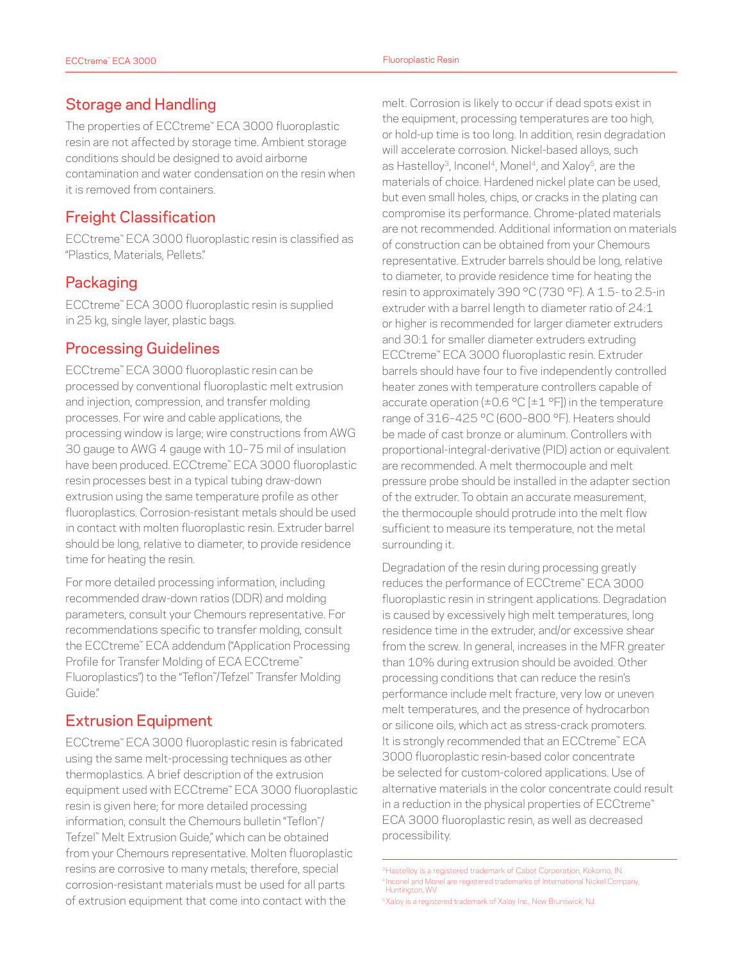#### Storage and Handling

The properties of ECCtreme™ ECA 3000 fluoroplastic resin are not affected by storage time. Ambient storage conditions should be designed to avoid airborne contamination and water condensation on the resin when it is removed from containers.

### Freight Classification

ECCtreme™ ECA 3000 fluoroplastic resin is classified as "Plastics, Materials, Pellets."

#### Packaging

ECCtreme™ ECA 3000 fluoroplastic resin is supplied in 25 kg, single layer, plastic bags.

#### Processing Guidelines

ECCtreme™ ECA 3000 fluoroplastic resin can be processed by conventional fluoroplastic melt extrusion and injection, compression, and transfer molding processes. For wire and cable applications, the processing window is large; wire constructions from AWG 30 gauge to AWG 4 gauge with 10–75 mil of insulation have been produced. ECCtreme™ ECA 3000 fluoroplastic resin processes best in a typical tubing draw-down extrusion using the same temperature profile as other fluoroplastics. Corrosion-resistant metals should be used in contact with molten fluoroplastic resin. Extruder barrel should be long, relative to diameter, to provide residence time for heating the resin.

For more detailed processing information, including recommended draw-down ratios (DDR) and molding parameters, consult your Chemours representative. For recommendations specific to transfer molding, consult the ECCtreme™ ECA addendum ("Application Processing Profile for Transfer Molding of ECA ECCtreme™ Fluoroplastics") to the "Teflon™ /Tefzel™ Transfer Molding Guide"

#### Extrusion Equipment

ECCtreme™ ECA 3000 fluoroplastic resin is fabricated using the same melt-processing techniques as other thermoplastics. A brief description of the extrusion equipment used with ECCtreme™ ECA 3000 fluoroplastic resin is given here; for more detailed processing information, consult the Chemours bulletin "Teflon™ / Tefzel™ Melt Extrusion Guide," which can be obtained from your Chemours representative. Molten fluoroplastic resins are corrosive to many metals; therefore, special corrosion-resistant materials must be used for all parts of extrusion equipment that come into contact with the

melt. Corrosion is likely to occur if dead spots exist in the equipment, processing temperatures are too high, or hold-up time is too long. In addition, resin degradation will accelerate corrosion. Nickel-based alloys, such as Hastelloy<sup>3</sup>, Inconel<sup>4</sup>, Monel<sup>4</sup>, and Xaloy<sup>5</sup>, are the materials of choice. Hardened nickel plate can be used, but even small holes, chips, or cracks in the plating can compromise its performance. Chrome-plated materials are not recommended. Additional information on materials of construction can be obtained from your Chemours representative. Extruder barrels should be long, relative to diameter, to provide residence time for heating the resin to approximately 390 °C (730 °F). A 1.5- to 2.5-in extruder with a barrel length to diameter ratio of 24:1 or higher is recommended for larger diameter extruders and 30:1 for smaller diameter extruders extruding ECCtreme™ ECA 3000 fluoroplastic resin. Extruder barrels should have four to five independently controlled heater zones with temperature controllers capable of accurate operation ( $\pm 0.6$  °C [ $\pm 1$  °F]) in the temperature range of 316–425 °C (600–800 °F). Heaters should be made of cast bronze or aluminum. Controllers with proportional-integral-derivative (PID) action or equivalent are recommended. A melt thermocouple and melt pressure probe should be installed in the adapter section of the extruder. To obtain an accurate measurement, the thermocouple should protrude into the melt flow sufficient to measure its temperature, not the metal surrounding it.

Degradation of the resin during processing greatly reduces the performance of ECCtreme™ ECA 3000 fluoroplastic resin in stringent applications. Degradation is caused by excessively high melt temperatures, long residence time in the extruder, and/or excessive shear from the screw. In general, increases in the MFR greater than 10% during extrusion should be avoided. Other processing conditions that can reduce the resin's performance include melt fracture, very low or uneven melt temperatures, and the presence of hydrocarbon or silicone oils, which act as stress-crack promoters. It is strongly recommended that an ECCtreme™ ECA 3000 fluoroplastic resin-based color concentrate be selected for custom-colored applications. Use of alternative materials in the color concentrate could result in a reduction in the physical properties of ECCtreme™ ECA 3000 fluoroplastic resin, as well as decreased processibility.

<sup>5</sup>Xaloy is a registered trademark of Xaloy Inc., New Brunswick, NJ.

<sup>&</sup>lt;sup>3</sup> Hastelloy is a registered trademark of Cabot Corporation, Kokomo, IN. <sup>4</sup> Inconel and Monel are registered trademarks of International Nickel Company, Huntington, WV.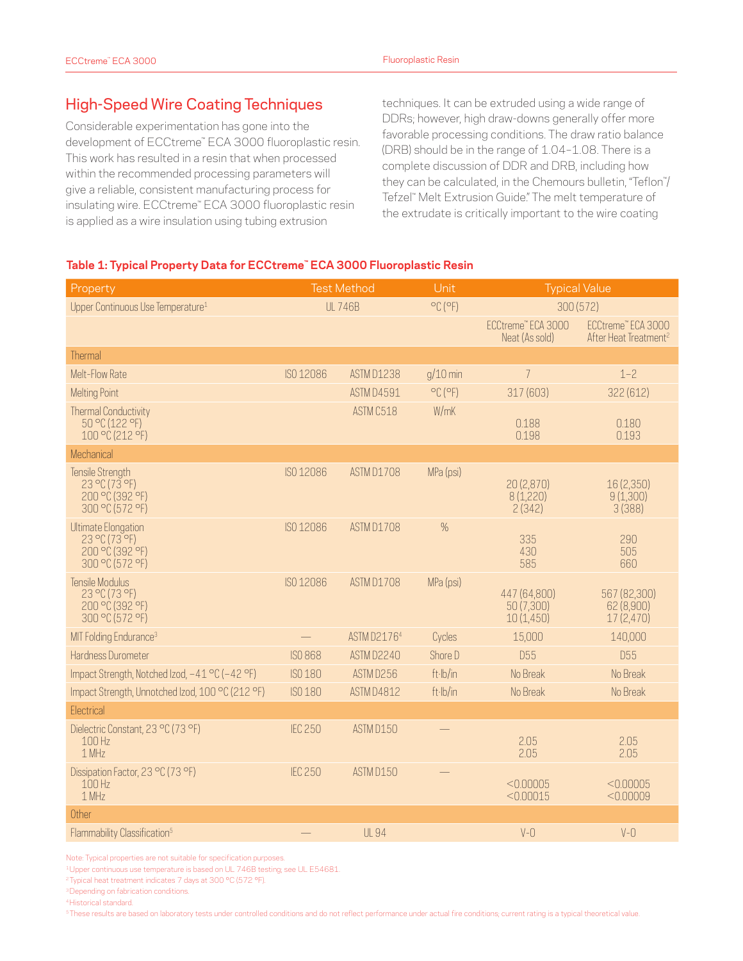#### High-Speed Wire Coating Techniques

Considerable experimentation has gone into the development of ECCtreme™ ECA 3000 fluoroplastic resin. This work has resulted in a resin that when processed within the recommended processing parameters will give a reliable, consistent manufacturing process for insulating wire. ECCtreme™ ECA 3000 fluoroplastic resin is applied as a wire insulation using tubing extrusion

techniques. It can be extruded using a wide range of DDRs; however, high draw-downs generally offer more favorable processing conditions. The draw ratio balance (DRB) should be in the range of 1.04–1.08. There is a complete discussion of DDR and DRB, including how they can be calculated, in the Chemours bulletin, "Teflon™ / Tefzel™ Melt Extrusion Guide." The melt temperature of the extrudate is critically important to the wire coating

#### **Table 1: Typical Property Data for ECCtreme™ ECA 3000 Fluoroplastic Resin**

| Property                                                                                             | <b>Test Method</b> |                   | Unit                         | <b>Typical Value</b>                    |                                                         |
|------------------------------------------------------------------------------------------------------|--------------------|-------------------|------------------------------|-----------------------------------------|---------------------------------------------------------|
| Upper Continuous Use Temperature <sup>1</sup>                                                        | <b>UL 746B</b>     |                   | $^{\circ}$ C ( $^{\circ}$ F) | 300 (572)                               |                                                         |
|                                                                                                      |                    |                   |                              | ECCtreme" ECA 3000<br>Neat (As sold)    | ECCtreme" ECA 3000<br>After Heat Treatment <sup>2</sup> |
| Thermal                                                                                              |                    |                   |                              |                                         |                                                         |
| Melt-Flow Rate                                                                                       | ISO 12086          | <b>ASTM D1238</b> | $g/10$ min                   | $\overline{7}$                          | $1 - 2$                                                 |
| <b>Melting Point</b>                                                                                 |                    | ASTM D4591        | $^{\circ}$ C ( $^{\circ}$ F) | 317 (603)                               | 322 (612)                                               |
| <b>Thermal Conductivity</b><br>50 °C (122 °F)<br>100°C(212°F)                                        |                    | ASTM C518         | W/mK                         | 0.188<br>0.198                          | 0.180<br>0.193                                          |
| Mechanical                                                                                           |                    |                   |                              |                                         |                                                         |
| <b>Tensile Strength</b><br>$23$ °C (73 °F)<br>200 °C (392 °F)<br>300 °C (572 °F)                     | ISO 12086          | ASTM D1708        | MPa (psi)                    | 20 (2,870)<br>8(1,220)<br>2(342)        | 16 (2,350)<br>9(1,300)<br>3(388)                        |
| <b>Ultimate Elongation</b><br>$23^{\circ}$ C (73 $^{\circ}$ F)<br>200 °C (392 °F)<br>300 °C (572 °F) | ISO 12086          | ASTM D1708        | $\%$                         | 335<br>430<br>585                       | 290<br>505<br>660                                       |
| Tensile Modulus<br>23 °C (73 °F)<br>200 °C (392 °F)<br>300 °C (572 °F)                               | ISO 12086          | ASTM D1708        | MPa (psi)                    | 447 (64,800)<br>50 (7,300)<br>10(1,450) | 567 (82,300)<br>62 (8,900)<br>17(2,470)                 |
| MIT Folding Endurance <sup>3</sup>                                                                   |                    | ASTM D21764       | Cycles                       | 15,000                                  | 140,000                                                 |
| Hardness Durometer                                                                                   | <b>ISO 868</b>     | ASTM D2240        | Shore D                      | <b>D55</b>                              | D <sub>55</sub>                                         |
| Impact Strength, Notched Izod, -41 °C (-42 °F)                                                       | ISO 180            | ASTM D256         | ft·lb/in                     | No Break                                | No Break                                                |
| Impact Strength, Unnotched Izod, 100 °C (212 °F)                                                     | ISO 180            | ASTM D4812        | ft·lb/in                     | No Break                                | No Break                                                |
| Electrical                                                                                           |                    |                   |                              |                                         |                                                         |
| Dielectric Constant, 23 °C (73 °F)<br>100 Hz<br>1 MHz                                                | <b>IEC 250</b>     | ASTM D150         |                              | 2.05<br>2.05                            | 2.05<br>2.05                                            |
| Dissipation Factor, 23 °C (73 °F)<br>100 Hz<br>1 MHz                                                 | <b>IEC 250</b>     | ASTM D150         |                              | < 0.00005<br>< 0.00015                  | < 0.00005<br>< 0.00009                                  |
| Other                                                                                                |                    |                   |                              |                                         |                                                         |
| Flammability Classification <sup>5</sup>                                                             |                    | <b>UL 94</b>      |                              | $V - Q$                                 | $V - O$                                                 |

Note: Typical properties are not suitable for specification purposes.

1Upper continuous use temperature is based on UL 746B testing; see UL E54681.

<sup>2</sup> Typical heat treatment indicates 7 days at 300 °C (572 °F).

<sup>3</sup>Depending on fabrication conditions.

4Historical standard.

<sup>5</sup>These results are based on laboratory tests under controlled conditions and do not reflect performance under actual fire conditions; current rating is a typical theoretical value.